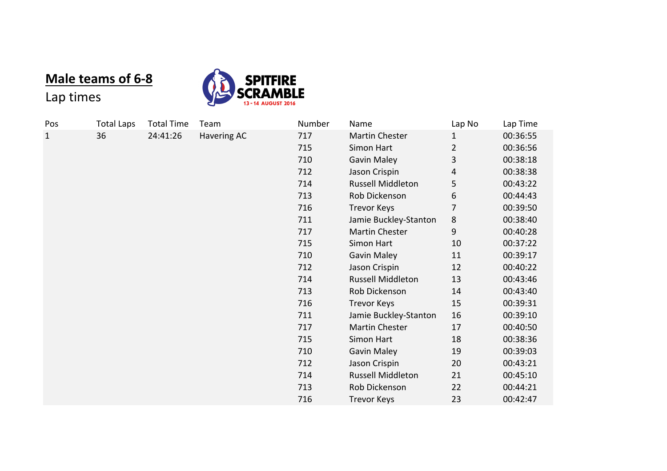## **Male teams of 6-8**



## Lap times

| Pos | <b>Total Laps</b> | <b>Total Time</b> | Team        | Number | Name                     | Lap No | Lap Time |
|-----|-------------------|-------------------|-------------|--------|--------------------------|--------|----------|
| 1   | 36                | 24:41:26          | Havering AC | 717    | Martin Chester           | 1      | 00:36:55 |
|     |                   |                   |             | 715    | Simon Hart               | 2      | 00:36:56 |
|     |                   |                   |             | 710    | <b>Gavin Maley</b>       | 3      | 00:38:18 |
|     |                   |                   |             | 712    | Jason Crispin            | 4      | 00:38:38 |
|     |                   |                   |             | 714    | <b>Russell Middleton</b> | 5      | 00:43:22 |
|     |                   |                   |             | 713    | Rob Dickenson            | 6      | 00:44:43 |
|     |                   |                   |             | 716    | <b>Trevor Keys</b>       | 7      | 00:39:50 |
|     |                   |                   |             | 711    | Jamie Buckley-Stanton    | 8      | 00:38:40 |
|     |                   |                   |             | 717    | Martin Chester           | 9      | 00:40:28 |
|     |                   |                   |             | 715    | Simon Hart               | 10     | 00:37:22 |
|     |                   |                   |             | 710    | <b>Gavin Maley</b>       | 11     | 00:39:17 |
|     |                   |                   |             | 712    | Jason Crispin            | 12     | 00:40:22 |
|     |                   |                   |             | 714    | <b>Russell Middleton</b> | 13     | 00:43:46 |
|     |                   |                   |             | 713    | Rob Dickenson            | 14     | 00:43:40 |
|     |                   |                   |             | 716    | <b>Trevor Keys</b>       | 15     | 00:39:31 |
|     |                   |                   |             | 711    | Jamie Buckley-Stanton    | 16     | 00:39:10 |
|     |                   |                   |             | 717    | Martin Chester           | 17     | 00:40:50 |
|     |                   |                   |             | 715    | Simon Hart               | 18     | 00:38:36 |
|     |                   |                   |             | 710    | Gavin Maley              | 19     | 00:39:03 |
|     |                   |                   |             | 712    | Jason Crispin            | 20     | 00:43:21 |
|     |                   |                   |             | 714    | <b>Russell Middleton</b> | 21     | 00:45:10 |
|     |                   |                   |             | 713    | Rob Dickenson            | 22     | 00:44:21 |
|     |                   |                   |             | 716    | <b>Trevor Keys</b>       | 23     | 00:42:47 |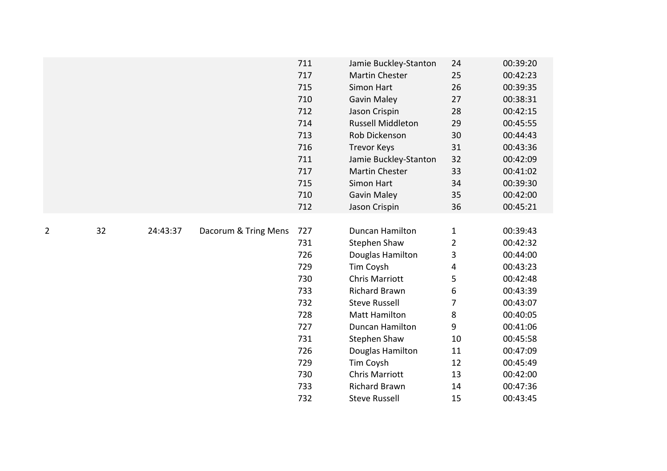|   |    |          |                      | 711 | Jamie Buckley-Stanton    | 24             | 00:39:20 |
|---|----|----------|----------------------|-----|--------------------------|----------------|----------|
|   |    |          |                      | 717 | <b>Martin Chester</b>    | 25             | 00:42:23 |
|   |    |          |                      | 715 | Simon Hart               | 26             | 00:39:35 |
|   |    |          |                      | 710 | <b>Gavin Maley</b>       | 27             | 00:38:31 |
|   |    |          |                      | 712 | Jason Crispin            | 28             | 00:42:15 |
|   |    |          |                      | 714 | <b>Russell Middleton</b> | 29             | 00:45:55 |
|   |    |          |                      | 713 | Rob Dickenson            | 30             | 00:44:43 |
|   |    |          |                      | 716 | <b>Trevor Keys</b>       | 31             | 00:43:36 |
|   |    |          |                      | 711 | Jamie Buckley-Stanton    | 32             | 00:42:09 |
|   |    |          |                      | 717 | <b>Martin Chester</b>    | 33             | 00:41:02 |
|   |    |          |                      | 715 | Simon Hart               | 34             | 00:39:30 |
|   |    |          |                      | 710 | <b>Gavin Maley</b>       | 35             | 00:42:00 |
|   |    |          |                      | 712 | Jason Crispin            | 36             | 00:45:21 |
|   |    |          |                      |     |                          |                |          |
| 2 | 32 | 24:43:37 | Dacorum & Tring Mens | 727 | Duncan Hamilton          | $\mathbf{1}$   | 00:39:43 |
|   |    |          |                      | 731 | <b>Stephen Shaw</b>      | $\overline{2}$ | 00:42:32 |
|   |    |          |                      | 726 | Douglas Hamilton         | 3              | 00:44:00 |
|   |    |          |                      | 729 | Tim Coysh                | 4              | 00:43:23 |
|   |    |          |                      | 730 | <b>Chris Marriott</b>    | 5              | 00:42:48 |
|   |    |          |                      | 733 | <b>Richard Brawn</b>     | 6              | 00:43:39 |
|   |    |          |                      | 732 | <b>Steve Russell</b>     | 7              | 00:43:07 |
|   |    |          |                      | 728 | <b>Matt Hamilton</b>     | 8              | 00:40:05 |
|   |    |          |                      | 727 | Duncan Hamilton          | 9              | 00:41:06 |
|   |    |          |                      | 731 | <b>Stephen Shaw</b>      | 10             | 00:45:58 |
|   |    |          |                      | 726 | Douglas Hamilton         | 11             | 00:47:09 |
|   |    |          |                      | 729 | Tim Coysh                | 12             | 00:45:49 |
|   |    |          |                      | 730 | <b>Chris Marriott</b>    | 13             | 00:42:00 |
|   |    |          |                      | 733 | <b>Richard Brawn</b>     | 14             | 00:47:36 |
|   |    |          |                      | 732 | <b>Steve Russell</b>     | 15             | 00:43:45 |
|   |    |          |                      |     |                          |                |          |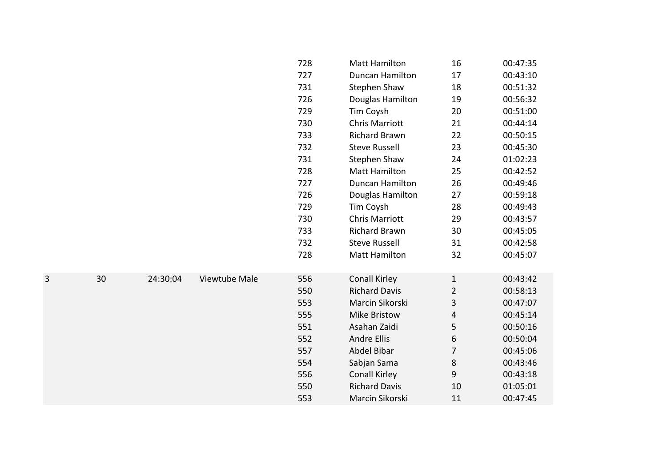|   |    |          |               | 728 | <b>Matt Hamilton</b>   | 16             | 00:47:35 |
|---|----|----------|---------------|-----|------------------------|----------------|----------|
|   |    |          |               | 727 | Duncan Hamilton        | 17             | 00:43:10 |
|   |    |          |               | 731 | <b>Stephen Shaw</b>    | 18             | 00:51:32 |
|   |    |          |               | 726 | Douglas Hamilton       | 19             | 00:56:32 |
|   |    |          |               | 729 | Tim Coysh              | 20             | 00:51:00 |
|   |    |          |               | 730 | <b>Chris Marriott</b>  | 21             | 00:44:14 |
|   |    |          |               | 733 | <b>Richard Brawn</b>   | 22             | 00:50:15 |
|   |    |          |               | 732 | <b>Steve Russell</b>   | 23             | 00:45:30 |
|   |    |          |               | 731 | Stephen Shaw           | 24             | 01:02:23 |
|   |    |          |               | 728 | <b>Matt Hamilton</b>   | 25             | 00:42:52 |
|   |    |          |               | 727 | <b>Duncan Hamilton</b> | 26             | 00:49:46 |
|   |    |          |               | 726 | Douglas Hamilton       | 27             | 00:59:18 |
|   |    |          |               | 729 | Tim Coysh              | 28             | 00:49:43 |
|   |    |          |               | 730 | <b>Chris Marriott</b>  | 29             | 00:43:57 |
|   |    |          |               | 733 | <b>Richard Brawn</b>   | 30             | 00:45:05 |
|   |    |          |               | 732 | <b>Steve Russell</b>   | 31             | 00:42:58 |
|   |    |          |               | 728 | <b>Matt Hamilton</b>   | 32             | 00:45:07 |
| 3 | 30 | 24:30:04 | Viewtube Male | 556 | <b>Conall Kirley</b>   | $\mathbf{1}$   | 00:43:42 |
|   |    |          |               | 550 | <b>Richard Davis</b>   | $\overline{2}$ | 00:58:13 |
|   |    |          |               | 553 | Marcin Sikorski        | 3              | 00:47:07 |
|   |    |          |               | 555 | <b>Mike Bristow</b>    | 4              | 00:45:14 |
|   |    |          |               | 551 | Asahan Zaidi           | 5              | 00:50:16 |
|   |    |          |               | 552 | <b>Andre Ellis</b>     | 6              | 00:50:04 |
|   |    |          |               |     | Abdel Bibar            | $\overline{7}$ |          |
|   |    |          |               | 557 |                        |                | 00:45:06 |
|   |    |          |               | 554 | Sabjan Sama            | 8              | 00:43:46 |
|   |    |          |               | 556 | <b>Conall Kirley</b>   | 9              | 00:43:18 |
|   |    |          |               | 550 | <b>Richard Davis</b>   | 10             | 01:05:01 |
|   |    |          |               | 553 | Marcin Sikorski        | 11             | 00:47:45 |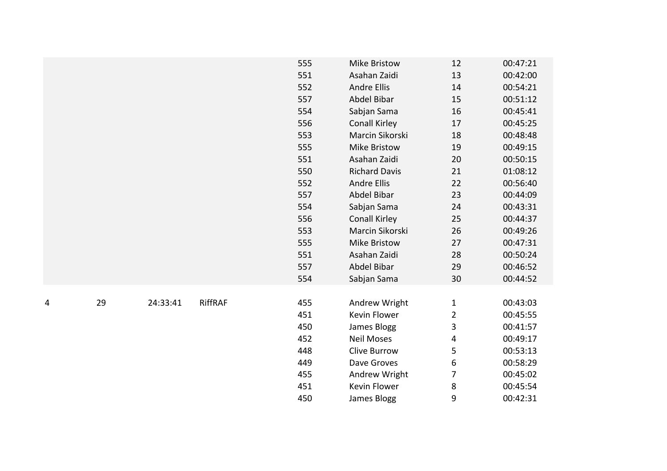|   |    |          |                | 555 | <b>Mike Bristow</b>  | 12             | 00:47:21 |
|---|----|----------|----------------|-----|----------------------|----------------|----------|
|   |    |          |                | 551 | Asahan Zaidi         | 13             | 00:42:00 |
|   |    |          |                | 552 | <b>Andre Ellis</b>   | 14             | 00:54:21 |
|   |    |          |                | 557 | Abdel Bibar          | 15             | 00:51:12 |
|   |    |          |                | 554 | Sabjan Sama          | 16             | 00:45:41 |
|   |    |          |                | 556 | <b>Conall Kirley</b> | 17             | 00:45:25 |
|   |    |          |                | 553 | Marcin Sikorski      | 18             | 00:48:48 |
|   |    |          |                | 555 | <b>Mike Bristow</b>  | 19             | 00:49:15 |
|   |    |          |                | 551 | Asahan Zaidi         | 20             | 00:50:15 |
|   |    |          |                | 550 | <b>Richard Davis</b> | 21             | 01:08:12 |
|   |    |          |                | 552 | <b>Andre Ellis</b>   | 22             | 00:56:40 |
|   |    |          |                | 557 | Abdel Bibar          | 23             | 00:44:09 |
|   |    |          |                | 554 | Sabjan Sama          | 24             | 00:43:31 |
|   |    |          |                | 556 | <b>Conall Kirley</b> | 25             | 00:44:37 |
|   |    |          |                | 553 | Marcin Sikorski      | 26             | 00:49:26 |
|   |    |          |                | 555 | <b>Mike Bristow</b>  | 27             | 00:47:31 |
|   |    |          |                | 551 | Asahan Zaidi         | 28             | 00:50:24 |
|   |    |          |                | 557 | Abdel Bibar          | 29             | 00:46:52 |
|   |    |          |                | 554 | Sabjan Sama          | 30             | 00:44:52 |
|   |    |          |                |     |                      |                |          |
| 4 | 29 | 24:33:41 | <b>RiffRAF</b> | 455 | Andrew Wright        | $\mathbf{1}$   | 00:43:03 |
|   |    |          |                | 451 | Kevin Flower         | $\overline{2}$ | 00:45:55 |
|   |    |          |                | 450 | James Blogg          | 3              | 00:41:57 |
|   |    |          |                | 452 | <b>Neil Moses</b>    | 4              | 00:49:17 |
|   |    |          |                | 448 | <b>Clive Burrow</b>  | 5              | 00:53:13 |
|   |    |          |                | 449 | Dave Groves          | 6              | 00:58:29 |
|   |    |          |                | 455 | Andrew Wright        | 7              | 00:45:02 |
|   |    |          |                | 451 | Kevin Flower         | 8              | 00:45:54 |
|   |    |          |                | 450 | James Blogg          | 9              | 00:42:31 |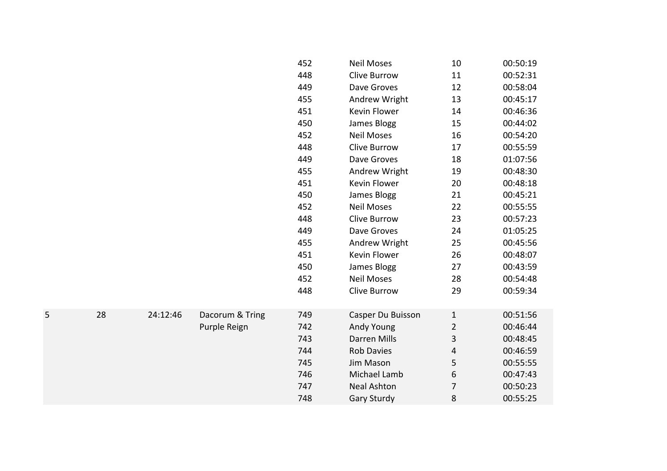|   |    |          |                 | 452 | <b>Neil Moses</b>   | 10             | 00:50:19 |
|---|----|----------|-----------------|-----|---------------------|----------------|----------|
|   |    |          |                 | 448 | <b>Clive Burrow</b> | 11             | 00:52:31 |
|   |    |          |                 | 449 | Dave Groves         | 12             | 00:58:04 |
|   |    |          |                 | 455 | Andrew Wright       | 13             | 00:45:17 |
|   |    |          |                 | 451 | Kevin Flower        | 14             | 00:46:36 |
|   |    |          |                 | 450 | James Blogg         | 15             | 00:44:02 |
|   |    |          |                 | 452 | <b>Neil Moses</b>   | 16             | 00:54:20 |
|   |    |          |                 | 448 | Clive Burrow        | 17             | 00:55:59 |
|   |    |          |                 | 449 | Dave Groves         | 18             | 01:07:56 |
|   |    |          |                 | 455 | Andrew Wright       | 19             | 00:48:30 |
|   |    |          |                 | 451 | Kevin Flower        | 20             | 00:48:18 |
|   |    |          |                 | 450 | James Blogg         | 21             | 00:45:21 |
|   |    |          |                 | 452 | <b>Neil Moses</b>   | 22             | 00:55:55 |
|   |    |          |                 | 448 | <b>Clive Burrow</b> | 23             | 00:57:23 |
|   |    |          |                 | 449 | Dave Groves         | 24             | 01:05:25 |
|   |    |          |                 | 455 | Andrew Wright       | 25             | 00:45:56 |
|   |    |          |                 | 451 | Kevin Flower        | 26             | 00:48:07 |
|   |    |          |                 | 450 | James Blogg         | 27             | 00:43:59 |
|   |    |          |                 | 452 | <b>Neil Moses</b>   | 28             | 00:54:48 |
|   |    |          |                 | 448 | <b>Clive Burrow</b> | 29             | 00:59:34 |
| 5 | 28 | 24:12:46 | Dacorum & Tring | 749 | Casper Du Buisson   | $\mathbf{1}$   | 00:51:56 |
|   |    |          | Purple Reign    | 742 | Andy Young          | $\overline{2}$ | 00:46:44 |
|   |    |          |                 | 743 | <b>Darren Mills</b> | 3              | 00:48:45 |
|   |    |          |                 | 744 | <b>Rob Davies</b>   | 4              | 00:46:59 |
|   |    |          |                 | 745 | Jim Mason           | 5              | 00:55:55 |
|   |    |          |                 | 746 | Michael Lamb        | 6              | 00:47:43 |
|   |    |          |                 | 747 | <b>Neal Ashton</b>  | $\overline{7}$ | 00:50:23 |
|   |    |          |                 | 748 | <b>Gary Sturdy</b>  | 8              | 00:55:25 |
|   |    |          |                 |     |                     |                |          |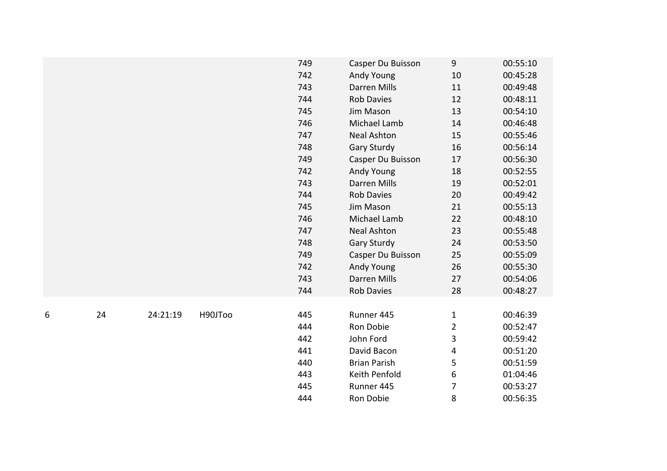|   |    |          |         | 749 | Casper Du Buisson   | 9              | 00:55:10 |
|---|----|----------|---------|-----|---------------------|----------------|----------|
|   |    |          |         | 742 | Andy Young          | $10\,$         | 00:45:28 |
|   |    |          |         | 743 | Darren Mills        | 11             | 00:49:48 |
|   |    |          |         | 744 | <b>Rob Davies</b>   | 12             | 00:48:11 |
|   |    |          |         | 745 | Jim Mason           | 13             | 00:54:10 |
|   |    |          |         | 746 | Michael Lamb        | 14             | 00:46:48 |
|   |    |          |         | 747 | <b>Neal Ashton</b>  | 15             | 00:55:46 |
|   |    |          |         | 748 | <b>Gary Sturdy</b>  | 16             | 00:56:14 |
|   |    |          |         | 749 | Casper Du Buisson   | 17             | 00:56:30 |
|   |    |          |         | 742 | Andy Young          | 18             | 00:52:55 |
|   |    |          |         | 743 | <b>Darren Mills</b> | 19             | 00:52:01 |
|   |    |          |         | 744 | <b>Rob Davies</b>   | 20             | 00:49:42 |
|   |    |          |         | 745 | Jim Mason           | 21             | 00:55:13 |
|   |    |          |         | 746 | Michael Lamb        | 22             | 00:48:10 |
|   |    |          |         | 747 | <b>Neal Ashton</b>  | 23             | 00:55:48 |
|   |    |          |         | 748 | <b>Gary Sturdy</b>  | 24             | 00:53:50 |
|   |    |          |         | 749 | Casper Du Buisson   | 25             | 00:55:09 |
|   |    |          |         | 742 | Andy Young          | 26             | 00:55:30 |
|   |    |          |         | 743 | Darren Mills        | 27             | 00:54:06 |
|   |    |          |         | 744 | Rob Davies          | 28             | 00:48:27 |
|   |    |          |         |     |                     |                |          |
| 6 | 24 | 24:21:19 | H90JToo | 445 | Runner 445          | $\mathbf{1}$   | 00:46:39 |
|   |    |          |         | 444 | Ron Dobie           | $\overline{2}$ | 00:52:47 |
|   |    |          |         | 442 | John Ford           | 3              | 00:59:42 |
|   |    |          |         | 441 | David Bacon         | 4              | 00:51:20 |
|   |    |          |         | 440 | <b>Brian Parish</b> | 5              | 00:51:59 |
|   |    |          |         | 443 | Keith Penfold       | 6              | 01:04:46 |
|   |    |          |         | 445 | Runner 445          | 7              | 00:53:27 |
|   |    |          |         | 444 | Ron Dobie           | 8              | 00:56:35 |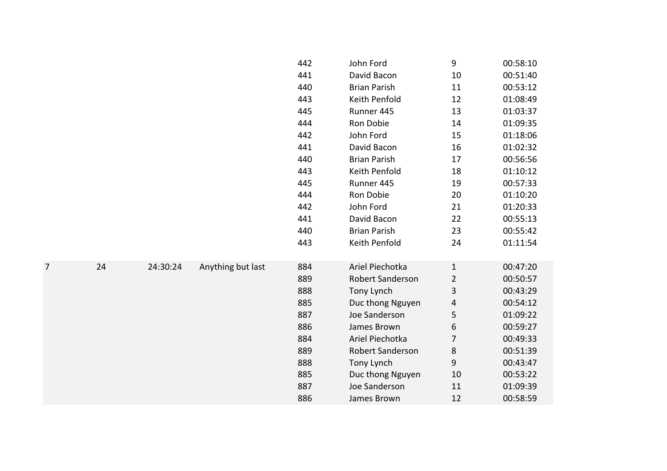|   |    |          |                   | 442 | John Ford               | 9              | 00:58:10 |
|---|----|----------|-------------------|-----|-------------------------|----------------|----------|
|   |    |          |                   | 441 | David Bacon             | 10             | 00:51:40 |
|   |    |          |                   | 440 | <b>Brian Parish</b>     | 11             | 00:53:12 |
|   |    |          |                   | 443 | Keith Penfold           | 12             | 01:08:49 |
|   |    |          |                   | 445 | Runner 445              | 13             | 01:03:37 |
|   |    |          |                   | 444 | Ron Dobie               | 14             | 01:09:35 |
|   |    |          |                   | 442 | John Ford               | 15             | 01:18:06 |
|   |    |          |                   | 441 | David Bacon             | 16             | 01:02:32 |
|   |    |          |                   | 440 | <b>Brian Parish</b>     | 17             | 00:56:56 |
|   |    |          |                   | 443 | Keith Penfold           | 18             | 01:10:12 |
|   |    |          |                   | 445 | Runner 445              | 19             | 00:57:33 |
|   |    |          |                   | 444 | Ron Dobie               | 20             | 01:10:20 |
|   |    |          |                   | 442 | John Ford               | 21             | 01:20:33 |
|   |    |          |                   | 441 | David Bacon             | 22             | 00:55:13 |
|   |    |          |                   | 440 | <b>Brian Parish</b>     | 23             | 00:55:42 |
|   |    |          |                   | 443 | Keith Penfold           | 24             | 01:11:54 |
|   |    |          |                   |     |                         |                |          |
| 7 | 24 | 24:30:24 | Anything but last | 884 | Ariel Piechotka         | $\mathbf{1}$   | 00:47:20 |
|   |    |          |                   | 889 | Robert Sanderson        | $\overline{2}$ | 00:50:57 |
|   |    |          |                   | 888 | Tony Lynch              | 3              | 00:43:29 |
|   |    |          |                   | 885 | Duc thong Nguyen        | 4              | 00:54:12 |
|   |    |          |                   | 887 | Joe Sanderson           | 5              | 01:09:22 |
|   |    |          |                   | 886 | James Brown             | 6              | 00:59:27 |
|   |    |          |                   | 884 | Ariel Piechotka         | $\overline{7}$ | 00:49:33 |
|   |    |          |                   | 889 | <b>Robert Sanderson</b> | 8              | 00:51:39 |
|   |    |          |                   | 888 | Tony Lynch              | 9              | 00:43:47 |
|   |    |          |                   | 885 | Duc thong Nguyen        | 10             | 00:53:22 |
|   |    |          |                   | 887 | Joe Sanderson           | 11             | 01:09:39 |
|   |    |          |                   | 886 | James Brown             | 12             | 00:58:59 |
|   |    |          |                   |     |                         |                |          |